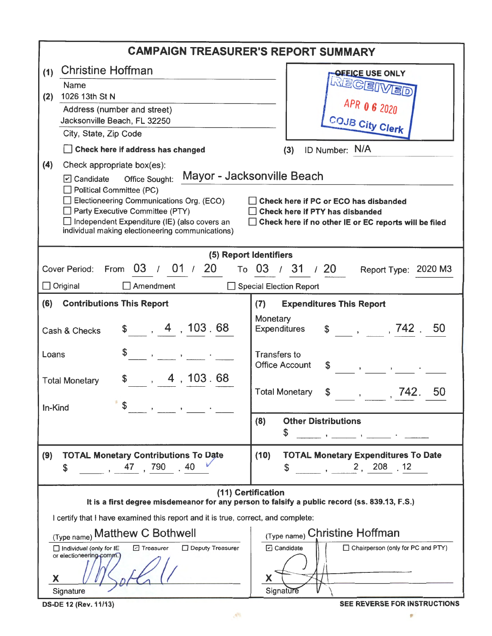| <b>CAMPAIGN TREASURER'S REPORT SUMMARY</b>                                                                                                                                                                                                                                                                                                                                                                                                                                                                                                                                                                                                                                                                                                                                       |                                                                                                                                                                                                         |  |  |  |  |  |
|----------------------------------------------------------------------------------------------------------------------------------------------------------------------------------------------------------------------------------------------------------------------------------------------------------------------------------------------------------------------------------------------------------------------------------------------------------------------------------------------------------------------------------------------------------------------------------------------------------------------------------------------------------------------------------------------------------------------------------------------------------------------------------|---------------------------------------------------------------------------------------------------------------------------------------------------------------------------------------------------------|--|--|--|--|--|
| <b>Christine Hoffman</b><br>(1)<br><b>OFFICE USE ONLY</b><br><u> MECEIMED</u><br>Name<br>1026 13th St N<br>(2)<br>Address (number and street)<br>Jacksonville Beach, FL 32250<br>COJB City Clerk<br>City, State, Zip Code<br>ID Number: N/A<br>Check here if address has changed<br>(3)<br>(4)<br>Check appropriate box(es):<br>Mayor - Jacksonville Beach<br>$\boxed{v}$ Candidate<br><b>Office Sought:</b><br>$\Box$ Political Committee (PC)<br>$\Box$ Electioneering Communications Org. (ECO)<br>Check here if PC or ECO has disbanded<br>Party Executive Committee (PTY)<br>Check here if PTY has disbanded<br>Independent Expenditure (IE) (also covers an<br>□ Check here if no other IE or EC reports will be filed<br>individual making electioneering communications) |                                                                                                                                                                                                         |  |  |  |  |  |
| (5) Report Identifiers                                                                                                                                                                                                                                                                                                                                                                                                                                                                                                                                                                                                                                                                                                                                                           |                                                                                                                                                                                                         |  |  |  |  |  |
| 03 / 01 / 20<br>Cover Period:<br>From<br>$\Box$ Original<br>$\Box$ Amendment                                                                                                                                                                                                                                                                                                                                                                                                                                                                                                                                                                                                                                                                                                     | то 03 / 31 / 20<br>Report Type: 2020 M3<br>□ Special Election Report                                                                                                                                    |  |  |  |  |  |
| <b>Contributions This Report</b><br>(6)                                                                                                                                                                                                                                                                                                                                                                                                                                                                                                                                                                                                                                                                                                                                          | (7)<br><b>Expenditures This Report</b>                                                                                                                                                                  |  |  |  |  |  |
| \$, 4, 103.68<br>Cash & Checks                                                                                                                                                                                                                                                                                                                                                                                                                                                                                                                                                                                                                                                                                                                                                   | Monetary<br>$\frac{1}{2}$ , , , 742 , 50<br>Expenditures                                                                                                                                                |  |  |  |  |  |
| Loans<br>$\mathbf{z}$ and $\mathbf{z}$ and $\mathbf{z}$ and $\mathbf{z}$                                                                                                                                                                                                                                                                                                                                                                                                                                                                                                                                                                                                                                                                                                         | <b>Transfers to</b><br><b>Office Account</b><br>$\begin{array}{ccc} \texttt{\$} & \texttt{\$} & \texttt{\$} & \texttt{\$} & \texttt{\$} & \texttt{\_} & \texttt{\_} \end{array}$                        |  |  |  |  |  |
| , 4, 103.68<br><b>Total Monetary</b><br>In-Kind                                                                                                                                                                                                                                                                                                                                                                                                                                                                                                                                                                                                                                                                                                                                  | <b>Total Monetary</b><br>,742.<br>50<br>$\mathfrak{S}$ ,                                                                                                                                                |  |  |  |  |  |
| $\mathbf{z}$ and $\mathbf{z}$ and $\mathbf{z}$                                                                                                                                                                                                                                                                                                                                                                                                                                                                                                                                                                                                                                                                                                                                   | <b>Other Distributions</b><br>(8)<br>\$<br>$\frac{1}{2}$ , and the set of $\frac{1}{2}$ , $\frac{1}{2}$ , $\frac{1}{2}$ , $\frac{1}{2}$ , $\frac{1}{2}$ , $\frac{1}{2}$ , $\frac{1}{2}$ , $\frac{1}{2}$ |  |  |  |  |  |
| <b>TOTAL Monetary Contributions To Date</b><br>(9)<br>, 47, 790<br>.40<br>\$                                                                                                                                                                                                                                                                                                                                                                                                                                                                                                                                                                                                                                                                                                     | <b>TOTAL Monetary Expenditures To Date</b><br>(10)<br>$\sim$ , 2, 208 .12<br>\$                                                                                                                         |  |  |  |  |  |
| (11) Certification<br>It is a first degree misdemeanor for any person to falsify a public record (ss. 839.13, F.S.)                                                                                                                                                                                                                                                                                                                                                                                                                                                                                                                                                                                                                                                              |                                                                                                                                                                                                         |  |  |  |  |  |
| I certify that I have examined this report and it is true, correct, and complete:                                                                                                                                                                                                                                                                                                                                                                                                                                                                                                                                                                                                                                                                                                |                                                                                                                                                                                                         |  |  |  |  |  |
| (Type name) Matthew C Bothwell                                                                                                                                                                                                                                                                                                                                                                                                                                                                                                                                                                                                                                                                                                                                                   | (Type name) Christine Hoffman                                                                                                                                                                           |  |  |  |  |  |
| Deputy Treasurer<br>□ Individual (only for IE<br><b>D</b> Treasurer<br>or electioneering comm.)<br>X                                                                                                                                                                                                                                                                                                                                                                                                                                                                                                                                                                                                                                                                             | <b>7</b> Candidate<br>$\Box$ Chairperson (only for PC and PTY)<br>X                                                                                                                                     |  |  |  |  |  |
| Signature<br><b>DS-DE 12 (Rev. 11/13)</b>                                                                                                                                                                                                                                                                                                                                                                                                                                                                                                                                                                                                                                                                                                                                        | Signature<br>SEE REVERSE FOR INSTRUCTIONS                                                                                                                                                               |  |  |  |  |  |

 $\mathcal{P}$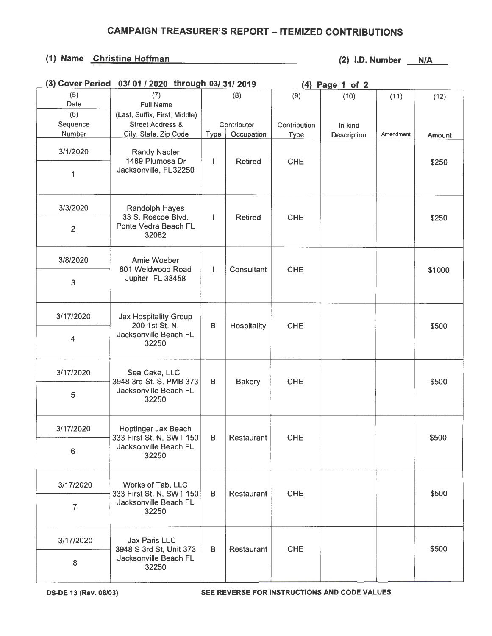## **CAMPAIGN TREASURER'S REPORT - ITEMIZED CONTRIBUTIONS**

## (1) Name Christine Hoffman (2) I.D. Number N/A

| (3) Cover Period | 03/01/2020 through 03/31/2019                                                     |                 |                          | (4) Page 1 of 2 |             |           |        |
|------------------|-----------------------------------------------------------------------------------|-----------------|--------------------------|-----------------|-------------|-----------|--------|
| (5)              | (7)                                                                               |                 | (8)                      | (9)             | (10)        | (11)      | (12)   |
| Date             | <b>Full Name</b>                                                                  |                 |                          |                 |             |           |        |
| (6)              | (Last, Suffix, First, Middle)                                                     |                 |                          |                 |             |           |        |
| Sequence         | <b>Street Address &amp;</b>                                                       |                 | Contributor              | Contribution    | In-kind     |           |        |
| Number           | City, State, Zip Code                                                             | Type            | Occupation               | <b>Type</b>     | Description | Amendment | Amount |
| 3/1/2020         | <b>Randy Nadler</b><br>1489 Plumosa Dr                                            |                 | <b>Retired</b>           | <b>CHE</b>      |             |           |        |
| 1                | Jacksonville, FL32250                                                             |                 |                          |                 |             |           | \$250  |
| 3/3/2020         | Randolph Hayes<br>33 S. Roscoe Blvd.<br>Ponte Vedra Beach FL<br>32082             | L               | <b>Retired</b>           | <b>CHE</b>      |             |           | \$250  |
| $\overline{2}$   |                                                                                   |                 |                          |                 |             |           |        |
| 3/8/2020         | Amie Woeber<br>601 Weldwood Road<br>Jupiter FL 33458                              | Ш               | Consultant               | <b>CHE</b>      |             |           | \$1000 |
| 3                |                                                                                   |                 |                          |                 |             |           |        |
| 3/17/2020        | <b>Jax Hospitality Group</b><br>200 1st St. N.<br>Jacksonville Beach FL<br>32250  | $\sf{B}$        | Hospitality              | <b>CHE</b>      |             |           | \$500  |
| 4                |                                                                                   |                 |                          |                 |             |           |        |
| 3/17/2020        | Sea Cake, LLC<br>3948 3rd St. S. PMB 373<br>Jacksonville Beach FL<br>32250        | в               | <b>Bakery</b>            | <b>CHE</b>      |             |           | \$500  |
| 5                |                                                                                   |                 |                          |                 |             |           |        |
| 3/17/2020        | Hoptinger Jax Beach<br>333 First St. N, SWT 150<br>Jacksonville Beach FL<br>32250 | B<br>Restaurant |                          | <b>CHE</b>      |             |           | \$500  |
| 6                |                                                                                   |                 |                          |                 |             |           |        |
| 3/17/2020        | Works of Tab, LLC<br>333 First St. N, SWT 150<br>Jacksonville Beach FL<br>32250   | в               | <b>CHE</b><br>Restaurant |                 |             |           | \$500  |
| $\overline{7}$   |                                                                                   |                 |                          |                 |             |           |        |
| 3/17/2020        | <b>Jax Paris LLC</b><br>3948 S 3rd St, Unit 373                                   | B               | Restaurant               | <b>CHE</b>      |             |           | \$500  |
| 8                | Jacksonville Beach FL<br>32250                                                    |                 |                          |                 |             |           |        |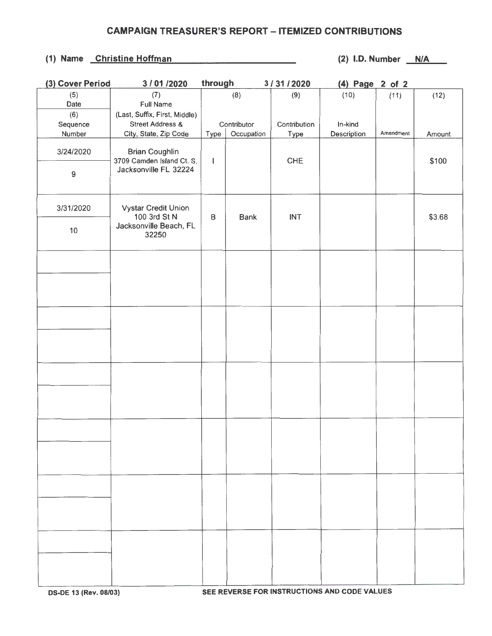## **CAMPAIGN TREASURER'S REPORT - ITEMIZED CONTRIBUTIONS**

## (1) Name Christine Hoffman (2) I.D. Number N/A

| (3) Cover Period | 3/01/2020                     | through |             | 3/31/2020    | (4) Page 2 of 2 |           |        |
|------------------|-------------------------------|---------|-------------|--------------|-----------------|-----------|--------|
| (5)              | (7)                           |         | (8)         | (9)          | (10)            | (11)      | (12)   |
| Date             | <b>Full Name</b>              |         |             |              |                 |           |        |
| (6)              | (Last, Suffix, First, Middle) |         |             |              |                 |           |        |
| Sequence         | <b>Street Address &amp;</b>   |         | Contributor | Contribution | In-kind         |           |        |
| Number           | City, State, Zip Code         | Type    | Occupation  | Type         | Description     | Amendment | Amount |
|                  |                               |         |             |              |                 |           |        |
| 3/24/2020        | <b>Brian Coughlin</b>         |         |             |              |                 |           |        |
|                  | 3709 Camden Island Ct. S.     | I       |             | <b>CHE</b>   |                 |           | \$100  |
| 9                | Jacksonville FL 32224         |         |             |              |                 |           |        |
|                  |                               |         |             |              |                 |           |        |
|                  |                               |         |             |              |                 |           |        |
|                  |                               |         |             |              |                 |           |        |
| 3/31/2020        | Vystar Credit Union           |         |             |              |                 |           |        |
|                  | 100 3rd St N                  | B       | <b>Bank</b> | <b>INT</b>   |                 |           | \$3.68 |
| $10$             | Jacksonville Beach, FL        |         |             |              |                 |           |        |
|                  | 32250                         |         |             |              |                 |           |        |
|                  |                               |         |             |              |                 |           |        |
|                  |                               |         |             |              |                 |           |        |
|                  |                               |         |             |              |                 |           |        |
|                  |                               |         |             |              |                 |           |        |
|                  |                               |         |             |              |                 |           |        |
|                  |                               |         |             |              |                 |           |        |
|                  |                               |         |             |              |                 |           |        |
|                  |                               |         |             |              |                 |           |        |
|                  |                               |         |             |              |                 |           |        |
|                  |                               |         |             |              |                 |           |        |
|                  |                               |         |             |              |                 |           |        |
|                  |                               |         |             |              |                 |           |        |
|                  |                               |         |             |              |                 |           |        |
|                  |                               |         |             |              |                 |           |        |
|                  |                               |         |             |              |                 |           |        |
|                  |                               |         |             |              |                 |           |        |
|                  |                               |         |             |              |                 |           |        |
|                  |                               |         |             |              |                 |           |        |
|                  |                               |         |             |              |                 |           |        |
|                  |                               |         |             |              |                 |           |        |
|                  |                               |         |             |              |                 |           |        |
|                  |                               |         |             |              |                 |           |        |
|                  |                               |         |             |              |                 |           |        |
|                  |                               |         |             |              |                 |           |        |
|                  |                               |         |             |              |                 |           |        |
|                  |                               |         |             |              |                 |           |        |
|                  |                               |         |             |              |                 |           |        |
|                  |                               |         |             |              |                 |           |        |
|                  |                               |         |             |              |                 |           |        |
|                  |                               |         |             |              |                 |           |        |
|                  |                               |         |             |              |                 |           |        |
|                  |                               |         |             |              |                 |           |        |
|                  |                               |         |             |              |                 |           |        |
|                  |                               |         |             |              |                 |           |        |
|                  |                               |         |             |              |                 |           |        |